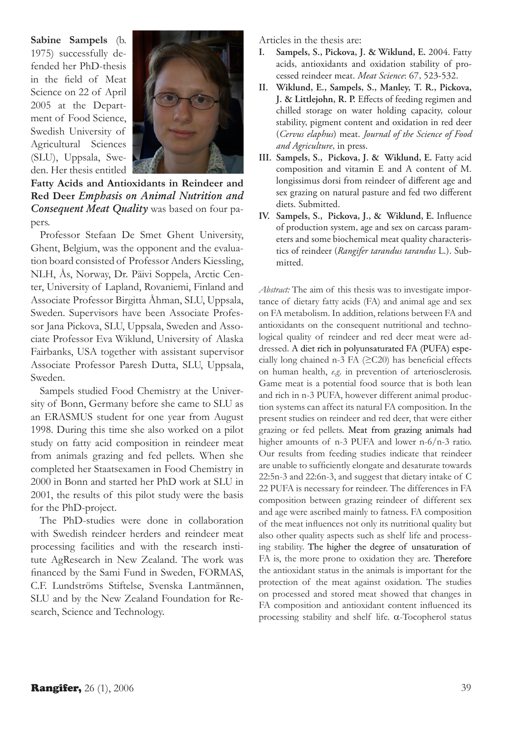**Sabine Sampels** (b. 1975) successfully defended her PhD-thesis in the field of Meat Science on 22 of April 2005 at the Department of Food Science, Swedish University of Agricultural Sciences (SLU), Uppsala, Sweden. Her thesis entitled



**Fatty Acids and Antioxidants in Reindeer and Red Deer** *Emphasis on Animal Nutrition and Consequent Meat Quality* was based on four papers.

Professor Stefaan De Smet Ghent University, Ghent, Belgium, was the opponent and the evaluation board consisted of Professor Anders Kiessling, NLH, Ås, Norway, Dr. Päivi Soppela, Arctic Center, University of Lapland, Rovaniemi, Finland and Associate Professor Birgitta Åhman, SLU, Uppsala, Sweden. Supervisors have been Associate Professor Jana Pickova, SLU, Uppsala, Sweden and Associate Professor Eva Wiklund, University of Alaska Fairbanks, USA together with assistant supervisor Associate Professor Paresh Dutta, SLU, Uppsala, Sweden.

Sampels studied Food Chemistry at the University of Bonn, Germany before she came to SLU as an ERASMUS student for one year from August 1998. During this time she also worked on a pilot study on fatty acid composition in reindeer meat from animals grazing and fed pellets. When she completed her Staatsexamen in Food Chemistry in 2000 in Bonn and started her PhD work at SLU in 2001, the results of this pilot study were the basis for the PhD-project.

The PhD-studies were done in collaboration with Swedish reindeer herders and reindeer meat processing facilities and with the research institute AgResearch in New Zealand. The work was financed by the Sami Fund in Sweden, FORMAS, C.F. Lundströms Stiftelse, Svenska Lantmännen, SLU and by the New Zealand Foundation for Research, Science and Technology.

Articles in the thesis are:

- **I. Sampels, S., Pickova, J. & Wiklund, E.** 2004. Fatty acids, antioxidants and oxidation stability of processed reindeer meat. *Meat Science*: 67, 523-532.
- **II. Wiklund, E., Sampels, S., Manley, T. R., Pickova, J. & Littlejohn, R. P.** Effects of feeding regimen and chilled storage on water holding capacity, colour stability, pigment content and oxidation in red deer (*Cervus elaphus*) meat. *Journal of the Science of Food and Agriculture*, in press.
- **III. Sampels, S., Pickova, J. & Wiklund, E.** Fatty acid composition and vitamin E and A content of M. longissimus dorsi from reindeer of different age and sex grazing on natural pasture and fed two different diets. Submitted.
- **IV. Sampels, S., Pickova, J., & Wiklund, E.** Influence of production system, age and sex on carcass parameters and some biochemical meat quality characteristics of reindeer (*Rangifer tarandus tarandus* L.). Submitted.

*Abstract:* The aim of this thesis was to investigate importance of dietary fatty acids (FA) and animal age and sex on FA metabolism. In addition, relations between FA and antioxidants on the consequent nutritional and technological quality of reindeer and red deer meat were addressed. A diet rich in polyunsaturated FA (PUFA) especially long chained n-3 FA (≥C20) has beneficial effects on human health, *e.g.* in prevention of arteriosclerosis. Game meat is a potential food source that is both lean and rich in n-3 PUFA, however different animal production systems can affect its natural FA composition. In the present studies on reindeer and red deer, that were either grazing or fed pellets. Meat from grazing animals had higher amounts of n-3 PUFA and lower n-6/n-3 ratio. Our results from feeding studies indicate that reindeer are unable to sufficiently elongate and desaturate towards 22:5n-3 and 22:6n-3, and suggest that dietary intake of C 22 PUFA is necessary for reindeer. The differences in FA composition between grazing reindeer of different sex and age were ascribed mainly to fatness. FA composition of the meat influences not only its nutritional quality but also other quality aspects such as shelf life and processing stability. The higher the degree of unsaturation of FA is, the more prone to oxidation they are. Therefore the antioxidant status in the animals is important for the protection of the meat against oxidation. The studies on processed and stored meat showed that changes in FA composition and antioxidant content influenced its processing stability and shelf life. α-Tocopherol status